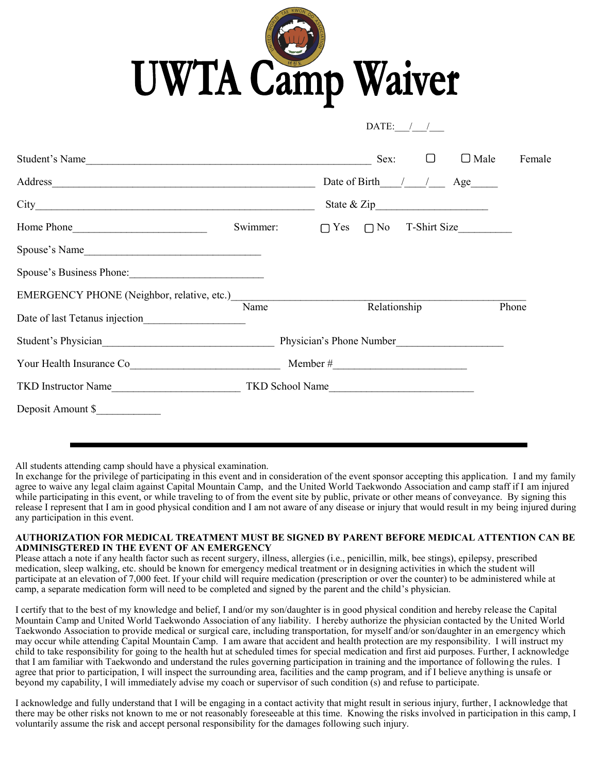

 $\text{DATE:}$  / /

| Student's Name                 |                          |              | Sex: | $\Box$ | $\Box$ Male                             | Female |
|--------------------------------|--------------------------|--------------|------|--------|-----------------------------------------|--------|
|                                |                          |              |      |        | Date of Birth / / Age                   |        |
|                                |                          |              |      |        |                                         |        |
|                                | Swimmer:                 |              |      |        | $\bigcap$ Yes $\bigcap$ No T-Shirt Size |        |
| Spouse's Name                  |                          |              |      |        |                                         |        |
| Spouse's Business Phone:       |                          |              |      |        |                                         |        |
|                                | Name                     |              |      |        |                                         | Phone  |
| Date of last Tetanus injection |                          | Relationship |      |        |                                         |        |
| Student's Physician            | Physician's Phone Number |              |      |        |                                         |        |
|                                |                          |              |      |        |                                         |        |
| TKD Instructor Name            | TKD School Name          |              |      |        |                                         |        |
| Deposit Amount \$              |                          |              |      |        |                                         |        |

All students attending camp should have a physical examination.

In exchange for the privilege of participating in this event and in consideration of the event sponsor accepting this application. I and my family agree to waive any legal claim against Capital Mountain Camp, and the United World Taekwondo Association and camp staff if I am injured while participating in this event, or while traveling to of from the event site by public, private or other means of conveyance. By signing this release I represent that I am in good physical condition and I am not aware of any disease or injury that would result in my being injured during any participation in this event.

## **AUTHORIZATION FOR MEDICAL TREATMENT MUST BE SIGNED BY PARENT BEFORE MEDICAL ATTENTION CAN BE ADMINISGTERED IN THE EVENT OF AN EMERGENCY**

Please attach a note if any health factor such as recent surgery, illness, allergies (i.e., penicillin, milk, bee stings), epilepsy, prescribed medication, sleep walking, etc. should be known for emergency medical treatment or in designing activities in which the student will participate at an elevation of 7,000 feet. If your child will require medication (prescription or over the counter) to be administered while at camp, a separate medication form will need to be completed and signed by the parent and the child's physician.

I certify that to the best of my knowledge and belief, I and/or my son/daughter is in good physical condition and hereby release the Capital Mountain Camp and United World Taekwondo Association of any liability. I hereby authorize the physician contacted by the United World Taekwondo Association to provide medical or surgical care, including transportation, for myself and/or son/daughter in an emergency which may occur while attending Capital Mountain Camp. I am aware that accident and health protection are my responsibility. I will instruct my child to take responsibility for going to the health hut at scheduled times for special medication and first aid purposes. Further, I acknowledge that I am familiar with Taekwondo and understand the rules governing participation in training and the importance of following the rules. I agree that prior to participation, I will inspect the surrounding area, facilities and the camp program, and if I believe anything is unsafe or beyond my capability, I will immediately advise my coach or supervisor of such condition (s) and refuse to participate.

I acknowledge and fully understand that I will be engaging in a contact activity that might result in serious injury, further, I acknowledge that there may be other risks not known to me or not reasonably foreseeable at this time. Knowing the risks involved in participation in this camp, I voluntarily assume the risk and accept personal responsibility for the damages following such injury.